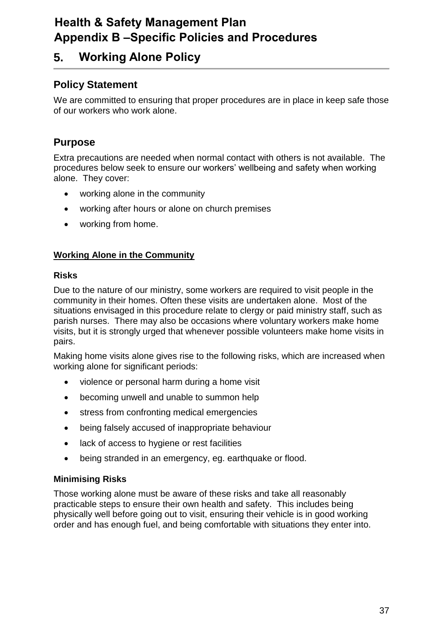# **Health & Safety Management Plan Appendix B –Specific Policies and Procedures**

# **5. Working Alone Policy**

# **Policy Statement**

We are committed to ensuring that proper procedures are in place in keep safe those of our workers who work alone.

# **Purpose**

Extra precautions are needed when normal contact with others is not available. The procedures below seek to ensure our workers' wellbeing and safety when working alone. They cover:

- working alone in the community
- working after hours or alone on church premises
- working from home.

# **Working Alone in the Community**

# **Risks**

Due to the nature of our ministry, some workers are required to visit people in the community in their homes. Often these visits are undertaken alone. Most of the situations envisaged in this procedure relate to clergy or paid ministry staff, such as parish nurses. There may also be occasions where voluntary workers make home visits, but it is strongly urged that whenever possible volunteers make home visits in pairs.

Making home visits alone gives rise to the following risks, which are increased when working alone for significant periods:

- violence or personal harm during a home visit
- becoming unwell and unable to summon help
- stress from confronting medical emergencies
- being falsely accused of inappropriate behaviour
- lack of access to hygiene or rest facilities
- being stranded in an emergency, eg. earthquake or flood.

# **Minimising Risks**

Those working alone must be aware of these risks and take all reasonably practicable steps to ensure their own health and safety. This includes being physically well before going out to visit, ensuring their vehicle is in good working order and has enough fuel, and being comfortable with situations they enter into.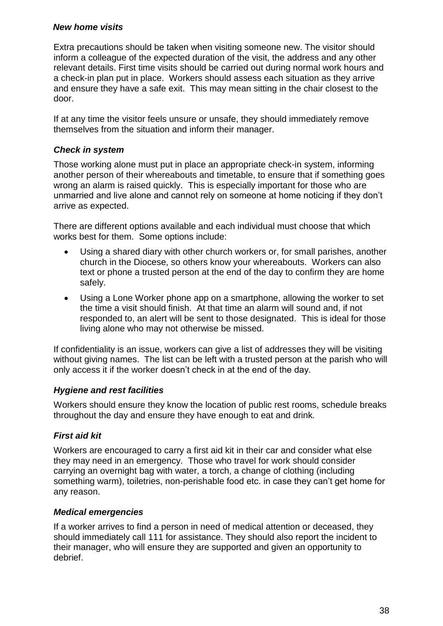### *New home visits*

Extra precautions should be taken when visiting someone new. The visitor should inform a colleague of the expected duration of the visit, the address and any other relevant details. First time visits should be carried out during normal work hours and a check-in plan put in place. Workers should assess each situation as they arrive and ensure they have a safe exit. This may mean sitting in the chair closest to the door.

If at any time the visitor feels unsure or unsafe, they should immediately remove themselves from the situation and inform their manager.

# *Check in system*

Those working alone must put in place an appropriate check-in system, informing another person of their whereabouts and timetable, to ensure that if something goes wrong an alarm is raised quickly. This is especially important for those who are unmarried and live alone and cannot rely on someone at home noticing if they don't arrive as expected.

There are different options available and each individual must choose that which works best for them. Some options include:

- Using a shared diary with other church workers or, for small parishes, another church in the Diocese, so others know your whereabouts. Workers can also text or phone a trusted person at the end of the day to confirm they are home safely.
- Using a Lone Worker phone app on a smartphone, allowing the worker to set the time a visit should finish. At that time an alarm will sound and, if not responded to, an alert will be sent to those designated. This is ideal for those living alone who may not otherwise be missed.

If confidentiality is an issue, workers can give a list of addresses they will be visiting without giving names. The list can be left with a trusted person at the parish who will only access it if the worker doesn't check in at the end of the day.

# *Hygiene and rest facilities*

Workers should ensure they know the location of public rest rooms, schedule breaks throughout the day and ensure they have enough to eat and drink.

# *First aid kit*

Workers are encouraged to carry a first aid kit in their car and consider what else they may need in an emergency. Those who travel for work should consider carrying an overnight bag with water, a torch, a change of clothing (including something warm), toiletries, non-perishable food etc. in case they can't get home for any reason.

# *Medical emergencies*

If a worker arrives to find a person in need of medical attention or deceased, they should immediately call 111 for assistance. They should also report the incident to their manager, who will ensure they are supported and given an opportunity to debrief.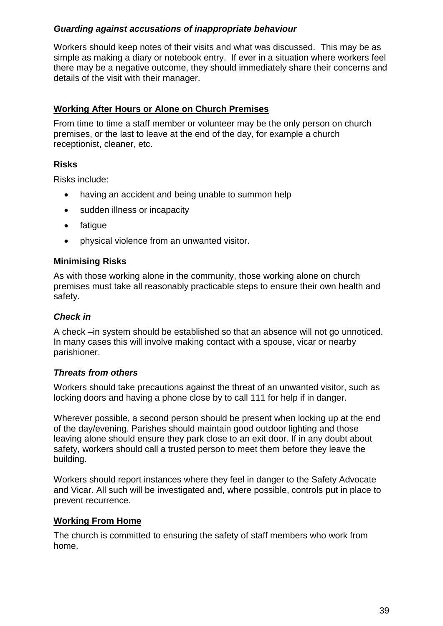### *Guarding against accusations of inappropriate behaviour*

Workers should keep notes of their visits and what was discussed. This may be as simple as making a diary or notebook entry. If ever in a situation where workers feel there may be a negative outcome, they should immediately share their concerns and details of the visit with their manager.

### **Working After Hours or Alone on Church Premises**

From time to time a staff member or volunteer may be the only person on church premises, or the last to leave at the end of the day, for example a church receptionist, cleaner, etc.

# **Risks**

Risks include:

- having an accident and being unable to summon help
- sudden illness or incapacity
- fatigue
- physical violence from an unwanted visitor.

#### **Minimising Risks**

As with those working alone in the community, those working alone on church premises must take all reasonably practicable steps to ensure their own health and safety.

#### *Check in*

A check –in system should be established so that an absence will not go unnoticed. In many cases this will involve making contact with a spouse, vicar or nearby parishioner.

#### *Threats from others*

Workers should take precautions against the threat of an unwanted visitor, such as locking doors and having a phone close by to call 111 for help if in danger.

Wherever possible, a second person should be present when locking up at the end of the day/evening. Parishes should maintain good outdoor lighting and those leaving alone should ensure they park close to an exit door. If in any doubt about safety, workers should call a trusted person to meet them before they leave the building.

Workers should report instances where they feel in danger to the Safety Advocate and Vicar. All such will be investigated and, where possible, controls put in place to prevent recurrence.

#### **Working From Home**

The church is committed to ensuring the safety of staff members who work from home.